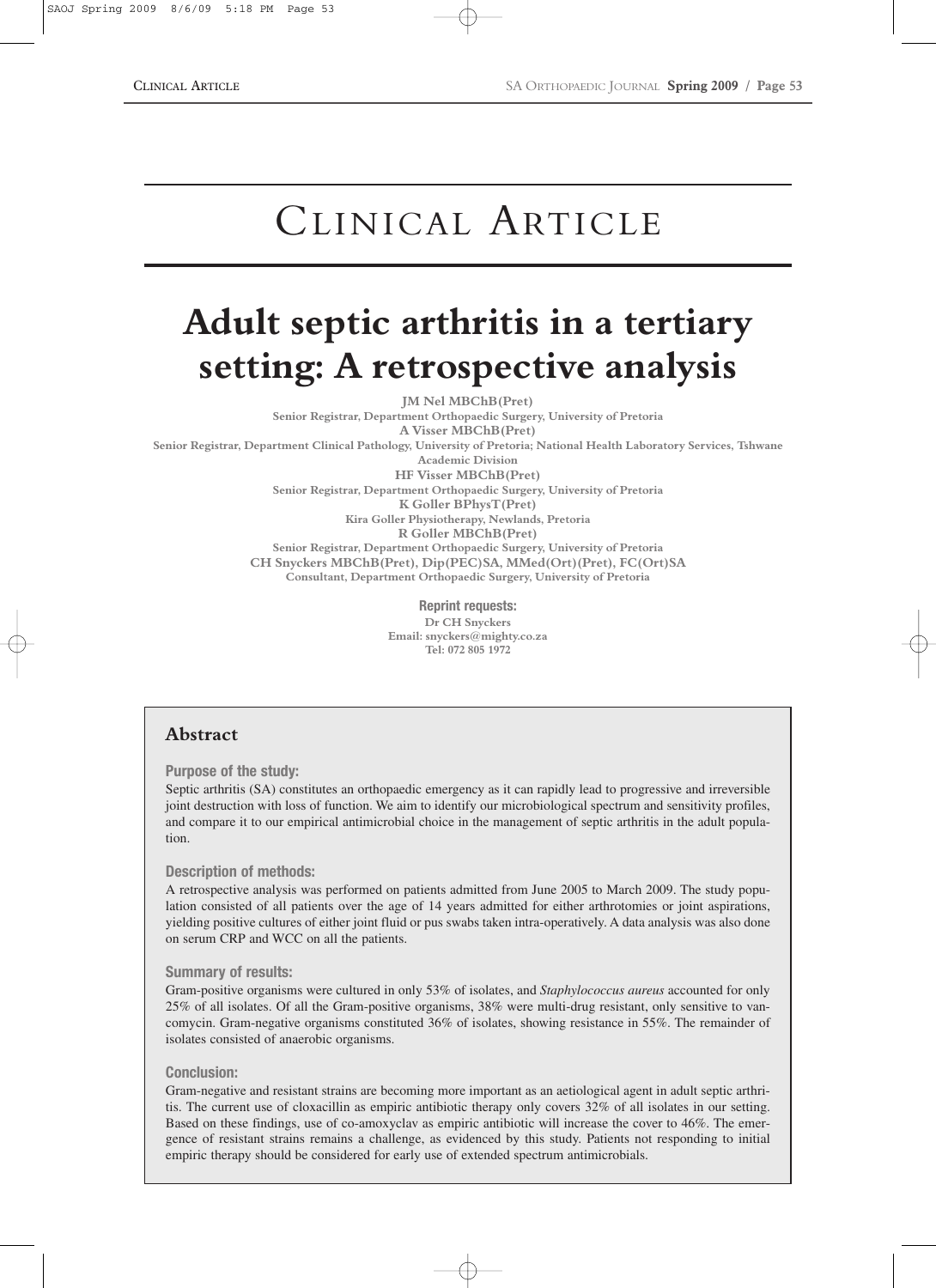# CLINICAL ARTICLE

## **Adult septic arthritis in a tertiary setting: A retrospective analysis**

**JM Nel MBChB(Pret) Senior Registrar, Department Orthopaedic Surgery, University of Pretoria A Visser MBChB(Pret) Senior Registrar, Department Clinical Pathology, University of Pretoria; National Health Laboratory Services, Tshwane Academic Division HF Visser MBChB(Pret) Senior Registrar, Department Orthopaedic Surgery, University of Pretoria K Goller BPhysT(Pret) Kira Goller Physiotherapy, Newlands, Pretoria R Goller MBChB(Pret) Senior Registrar, Department Orthopaedic Surgery, University of Pretoria CH Snyckers MBChB(Pret), Dip(PEC)SA, MMed(Ort)(Pret), FC(Ort)SA Consultant, Department Orthopaedic Surgery, University of Pretoria**

> **Reprint requests: Dr CH Snyckers Email: snyckers@mighty.co.za Tel: 072 805 1972**

## **Abstract**

**Purpose of the study:** 

Septic arthritis (SA) constitutes an orthopaedic emergency as it can rapidly lead to progressive and irreversible joint destruction with loss of function. We aim to identify our microbiological spectrum and sensitivity profiles, and compare it to our empirical antimicrobial choice in the management of septic arthritis in the adult population.

### **Description of methods:**

A retrospective analysis was performed on patients admitted from June 2005 to March 2009. The study population consisted of all patients over the age of 14 years admitted for either arthrotomies or joint aspirations, yielding positive cultures of either joint fluid or pus swabs taken intra-operatively. A data analysis was also done on serum CRP and WCC on all the patients.

### **Summary of results:**

Gram-positive organisms were cultured in only 53% of isolates, and *Staphylococcus aureus* accounted for only 25% of all isolates. Of all the Gram-positive organisms, 38% were multi-drug resistant, only sensitive to vancomycin. Gram-negative organisms constituted 36% of isolates, showing resistance in 55%. The remainder of isolates consisted of anaerobic organisms.

### **Conclusion:**

Gram-negative and resistant strains are becoming more important as an aetiological agent in adult septic arthritis. The current use of cloxacillin as empiric antibiotic therapy only covers 32% of all isolates in our setting. Based on these findings, use of co-amoxyclav as empiric antibiotic will increase the cover to 46%. The emergence of resistant strains remains a challenge, as evidenced by this study. Patients not responding to initial empiric therapy should be considered for early use of extended spectrum antimicrobials.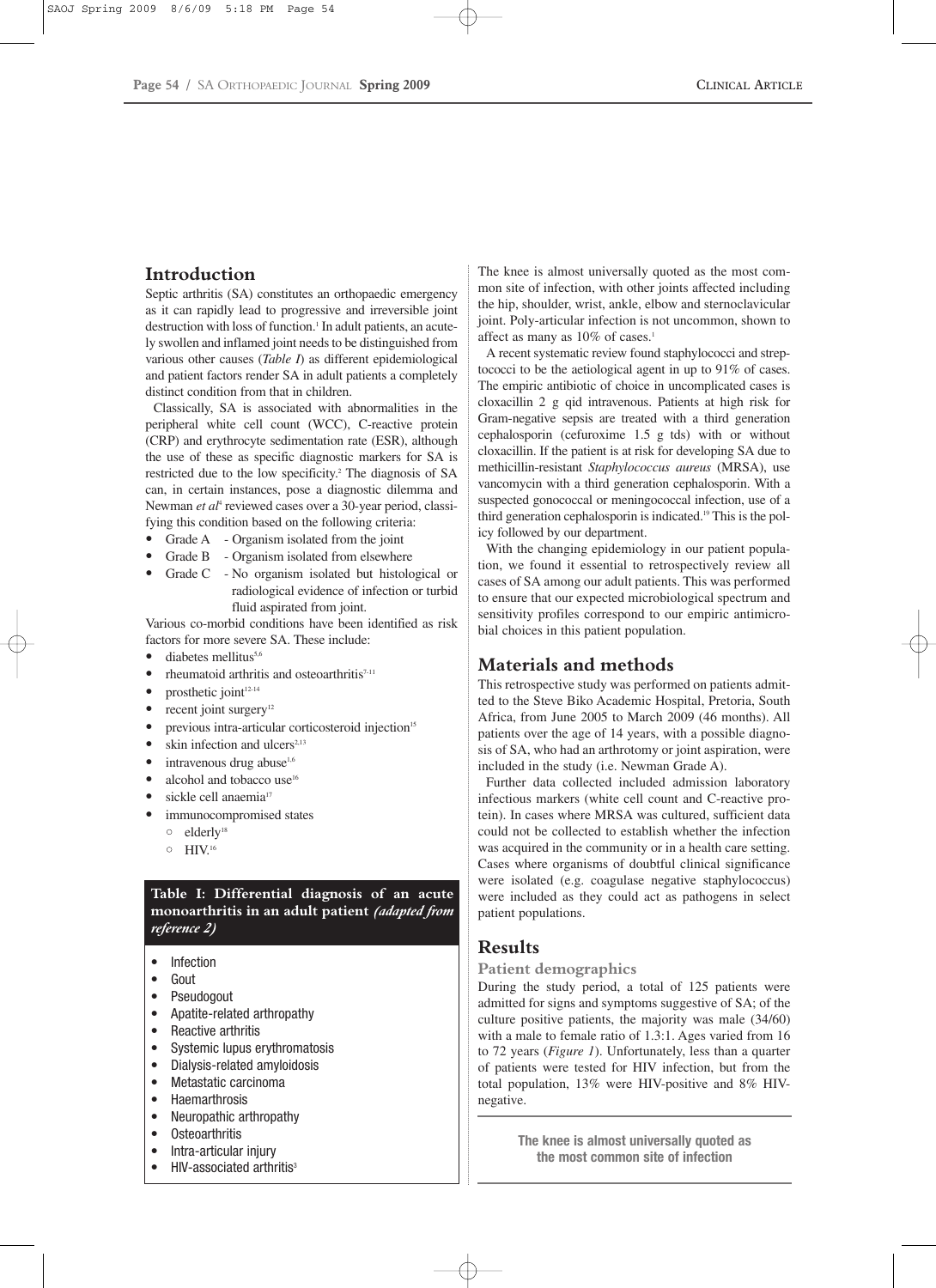## **Introduction**

Septic arthritis (SA) constitutes an orthopaedic emergency as it can rapidly lead to progressive and irreversible joint destruction with loss of function.<sup>1</sup> In adult patients, an acutely swollen and inflamed joint needs to be distinguished from various other causes (*Table I*) as different epidemiological and patient factors render SA in adult patients a completely distinct condition from that in children.

Classically, SA is associated with abnormalities in the peripheral white cell count (WCC), C-reactive protein (CRP) and erythrocyte sedimentation rate (ESR), although the use of these as specific diagnostic markers for SA is restricted due to the low specificity.2 The diagnosis of SA can, in certain instances, pose a diagnostic dilemma and Newman *et al<sup>4</sup>* reviewed cases over a 30-year period, classifying this condition based on the following criteria:

- Grade A Organism isolated from the joint
- Grade B Organism isolated from elsewhere
- Grade C No organism isolated but histological or radiological evidence of infection or turbid fluid aspirated from joint.

Various co-morbid conditions have been identified as risk factors for more severe SA. These include:

- diabetes mellitus<sup>5,6</sup>
- rheumatoid arthritis and osteoarthritis<sup>7-11</sup>
- prosthetic joint<sup>12-14</sup>
- recent joint surgery<sup>12</sup>
- previous intra-articular corticosteroid injection<sup>15</sup>
- skin infection and ulcers<sup>2,13</sup>
- intravenous drug abuse<sup>1,6</sup>
- alcohol and tobacco use<sup>16</sup>
- sickle cell anaemia<sup>17</sup>
- immunocompromised states  $\circ$  elderly<sup>18</sup>
	- $\circ$  HIV.<sup>16</sup>

## **Table I: Differential diagnosis of an acute monoarthritis in an adult patient** *(adapted from reference 2)*

- Infection
- Gout
- Pseudogout
- Apatite-related arthropathy
- Reactive arthritis
- Systemic lupus erythromatosis
- Dialysis-related amyloidosis
- Metastatic carcinoma
- Haemarthrosis
- Neuropathic arthropathy
- **Osteoarthritis**
- Intra-articular injury
- HIV-associated arthritis3

The knee is almost universally quoted as the most common site of infection, with other joints affected including the hip, shoulder, wrist, ankle, elbow and sternoclavicular joint. Poly-articular infection is not uncommon, shown to affect as many as 10% of cases.<sup>1</sup>

A recent systematic review found staphylococci and streptococci to be the aetiological agent in up to 91% of cases. The empiric antibiotic of choice in uncomplicated cases is cloxacillin 2 g qid intravenous. Patients at high risk for Gram-negative sepsis are treated with a third generation cephalosporin (cefuroxime 1.5 g tds) with or without cloxacillin. If the patient is at risk for developing SA due to methicillin-resistant *Staphylococcus aureus* (MRSA), use vancomycin with a third generation cephalosporin. With a suspected gonococcal or meningococcal infection, use of a third generation cephalosporin is indicated.<sup>19</sup> This is the policy followed by our department.

With the changing epidemiology in our patient population, we found it essential to retrospectively review all cases of SA among our adult patients. This was performed to ensure that our expected microbiological spectrum and sensitivity profiles correspond to our empiric antimicrobial choices in this patient population.

## **Materials and methods**

This retrospective study was performed on patients admitted to the Steve Biko Academic Hospital, Pretoria, South Africa, from June 2005 to March 2009 (46 months). All patients over the age of 14 years, with a possible diagnosis of SA, who had an arthrotomy or joint aspiration, were included in the study (i.e. Newman Grade A).

Further data collected included admission laboratory infectious markers (white cell count and C-reactive protein). In cases where MRSA was cultured, sufficient data could not be collected to establish whether the infection was acquired in the community or in a health care setting. Cases where organisms of doubtful clinical significance were isolated (e.g. coagulase negative staphylococcus) were included as they could act as pathogens in select patient populations.

## **Results**

#### **Patient demographics**

During the study period, a total of 125 patients were admitted for signs and symptoms suggestive of SA; of the culture positive patients, the majority was male (34/60) with a male to female ratio of 1.3:1. Ages varied from 16 to 72 years (*Figure 1*). Unfortunately, less than a quarter of patients were tested for HIV infection, but from the total population, 13% were HIV-positive and 8% HIVnegative.

> **The knee is almost universally quoted as the most common site of infection**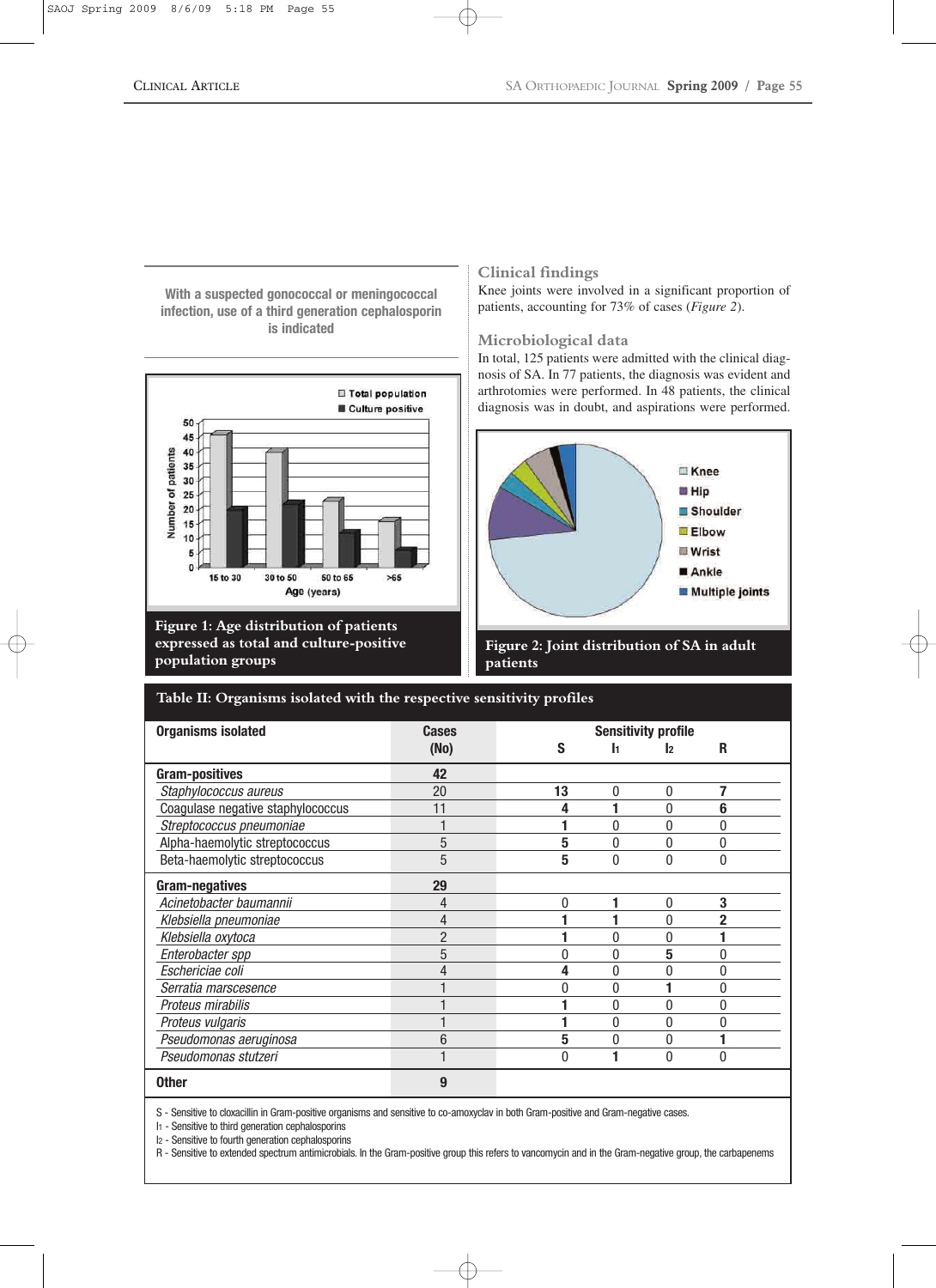**With a suspected gonococcal or meningococcal infection, use of a third generation cephalosporin is indicated**



**Figure 1: Age distribution of patients expressed as total and culture-positive population groups** 

#### **Clinical findings**

Knee joints were involved in a significant proportion of patients, accounting for 73% of cases (*Figure 2*).

### **Microbiological data**

In total, 125 patients were admitted with the clinical diagnosis of SA. In 77 patients, the diagnosis was evident and arthrotomies were performed. In 48 patients, the clinical diagnosis was in doubt, and aspirations were performed.



| Table II: Organisms isolated with the respective sensitivity profiles |                |                |                            |              |          |  |
|-----------------------------------------------------------------------|----------------|----------------|----------------------------|--------------|----------|--|
| <b>Organisms isolated</b>                                             | <b>Cases</b>   |                | <b>Sensitivity profile</b> |              |          |  |
|                                                                       | (No)           | S              | I1                         | $\mathbf{E}$ | R        |  |
| <b>Gram-positives</b>                                                 | 42             |                |                            |              |          |  |
| Staphylococcus aureus                                                 | 20             | 13             | 0                          | $\mathbf{0}$ | 7        |  |
| Coagulase negative staphylococcus                                     | 11             | 4              | 1                          | 0            | 6        |  |
| Streptococcus pneumoniae                                              |                |                | $\overline{0}$             | $\Omega$     | 0        |  |
| Alpha-haemolytic streptococcus                                        | 5              | 5              | $\overline{0}$             | $\Omega$     | 0        |  |
| Beta-haemolytic streptococcus                                         | 5              | 5              | $\overline{0}$             | 0            | 0        |  |
| Gram-negatives                                                        | 29             |                |                            |              |          |  |
| Acinetobacter baumannii                                               | 4              | $\mathbf{0}$   |                            | $\mathbf{0}$ | 3        |  |
| Klebsiella pneumoniae                                                 | 4              |                |                            | 0            | 2        |  |
| Klebsiella oxytoca                                                    | $\overline{c}$ |                | $\overline{0}$             | $\Omega$     |          |  |
| Enterobacter spp                                                      | 5              | $\mathbf{0}$   | $\overline{0}$             | 5            | O        |  |
| Eschericiae coli                                                      | 4              | 4              | 0                          | 0            | 0        |  |
| Serratia marscesence                                                  |                | $\overline{0}$ | $\overline{0}$             |              | 0        |  |
| Proteus mirabilis                                                     |                |                | 0                          | 0            | 0        |  |
| Proteus vulgaris                                                      |                |                | $\overline{0}$             | 0            | 0        |  |
| Pseudomonas aeruginosa                                                | 6              | 5              | 0                          | 0            |          |  |
| Pseudomonas stutzeri                                                  |                | $\mathbf{0}$   | 1                          | $\Omega$     | $\Omega$ |  |
| <b>Other</b>                                                          | 9              |                |                            |              |          |  |

S - Sensitive to cloxacillin in Gram-positive organisms and sensitive to co-amoxyclav in both Gram-positive and Gram-negative cases.

I1 - Sensitive to third generation cephalosporins

I2 - Sensitive to fourth generation cephalosporins

R - Sensitive to extended spectrum antimicrobials. In the Gram-positive group this refers to vancomycin and in the Gram-negative group, the carbapenems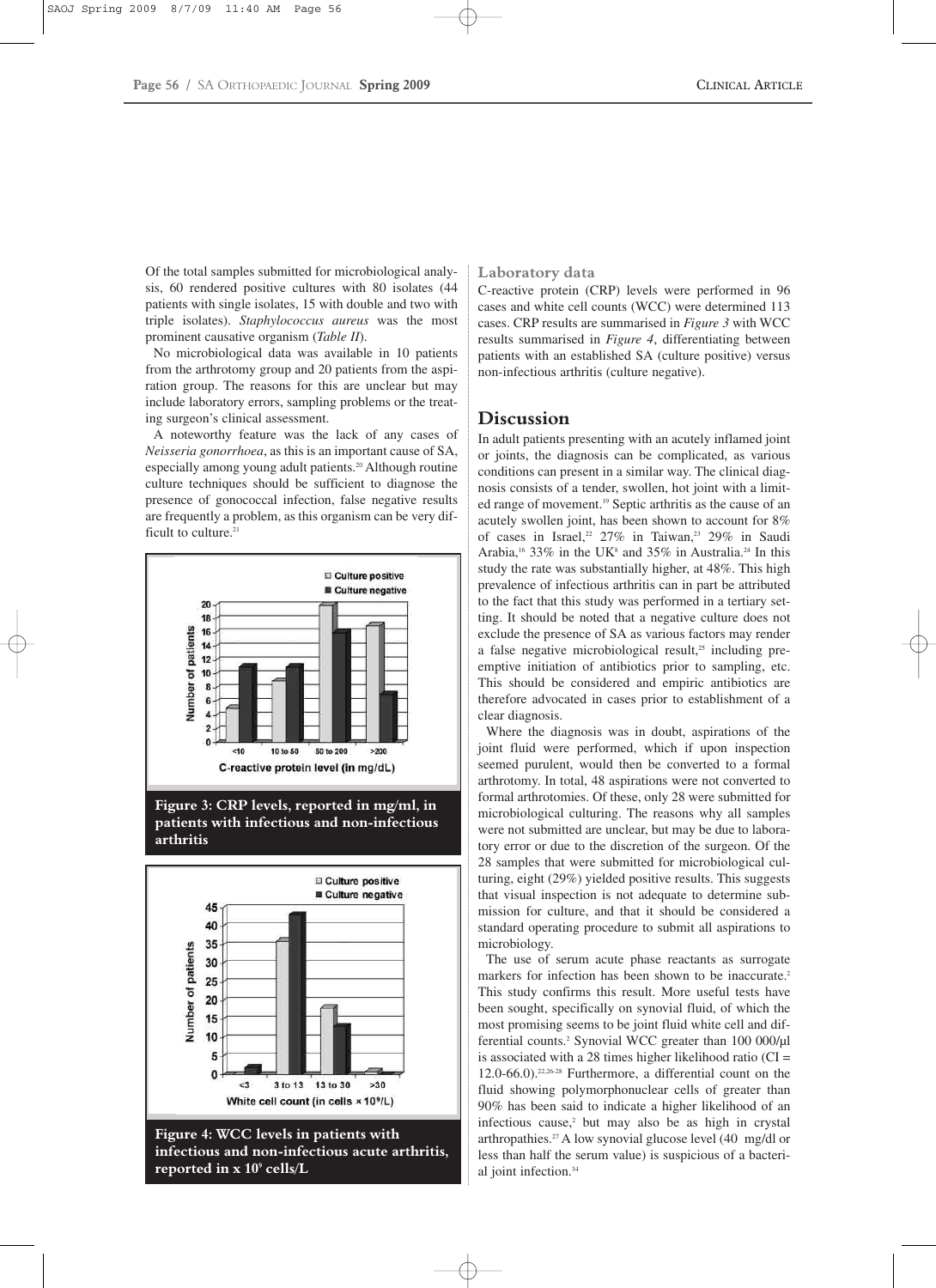Of the total samples submitted for microbiological analysis, 60 rendered positive cultures with 80 isolates (44 patients with single isolates, 15 with double and two with triple isolates). *Staphylococcus aureus* was the most prominent causative organism (*Table II*).

No microbiological data was available in 10 patients from the arthrotomy group and 20 patients from the aspiration group. The reasons for this are unclear but may include laboratory errors, sampling problems or the treating surgeon's clinical assessment.

A noteworthy feature was the lack of any cases of *Neisseria gonorrhoea*, as this is an important cause of SA, especially among young adult patients.<sup>20</sup> Although routine culture techniques should be sufficient to diagnose the presence of gonococcal infection, false negative results are frequently a problem, as this organism can be very difficult to culture.<sup>21</sup>



**Figure 3: CRP levels, reported in mg/ml, in patients with infectious and non-infectious arthritis**



**infectious and non-infectious acute arthritis, reported in x 109 cells/L**

#### **Laboratory data**

C-reactive protein (CRP) levels were performed in 96 cases and white cell counts (WCC) were determined 113 cases. CRP results are summarised in *Figure 3* with WCC results summarised in *Figure 4*, differentiating between patients with an established SA (culture positive) versus non-infectious arthritis (culture negative).

## **Discussion**

In adult patients presenting with an acutely inflamed joint or joints, the diagnosis can be complicated, as various conditions can present in a similar way. The clinical diagnosis consists of a tender, swollen, hot joint with a limited range of movement.<sup>19</sup> Septic arthritis as the cause of an acutely swollen joint, has been shown to account for 8% of cases in Israel,<sup>22</sup> 27% in Taiwan,<sup>23</sup> 29% in Saudi Arabia,<sup>16</sup> 33% in the UK<sup>8</sup> and 35% in Australia.<sup>24</sup> In this study the rate was substantially higher, at 48%. This high prevalence of infectious arthritis can in part be attributed to the fact that this study was performed in a tertiary setting. It should be noted that a negative culture does not exclude the presence of SA as various factors may render a false negative microbiological result, $25$  including preemptive initiation of antibiotics prior to sampling, etc. This should be considered and empiric antibiotics are therefore advocated in cases prior to establishment of a clear diagnosis.

Where the diagnosis was in doubt, aspirations of the joint fluid were performed, which if upon inspection seemed purulent, would then be converted to a formal arthrotomy. In total, 48 aspirations were not converted to formal arthrotomies. Of these, only 28 were submitted for microbiological culturing. The reasons why all samples were not submitted are unclear, but may be due to laboratory error or due to the discretion of the surgeon. Of the 28 samples that were submitted for microbiological culturing, eight (29%) yielded positive results. This suggests that visual inspection is not adequate to determine submission for culture, and that it should be considered a standard operating procedure to submit all aspirations to microbiology.

The use of serum acute phase reactants as surrogate markers for infection has been shown to be inaccurate.<sup>2</sup> This study confirms this result. More useful tests have been sought, specifically on synovial fluid, of which the most promising seems to be joint fluid white cell and differential counts.2 Synovial WCC greater than 100 000/µl is associated with a 28 times higher likelihood ratio ( $CI =$ 12.0-66.0).22,26-28 Furthermore, a differential count on the fluid showing polymorphonuclear cells of greater than 90% has been said to indicate a higher likelihood of an infectious cause, $2$  but may also be as high in crystal arthropathies.27 A low synovial glucose level (40 mg/dl or less than half the serum value) is suspicious of a bacterial joint infection.<sup>34</sup>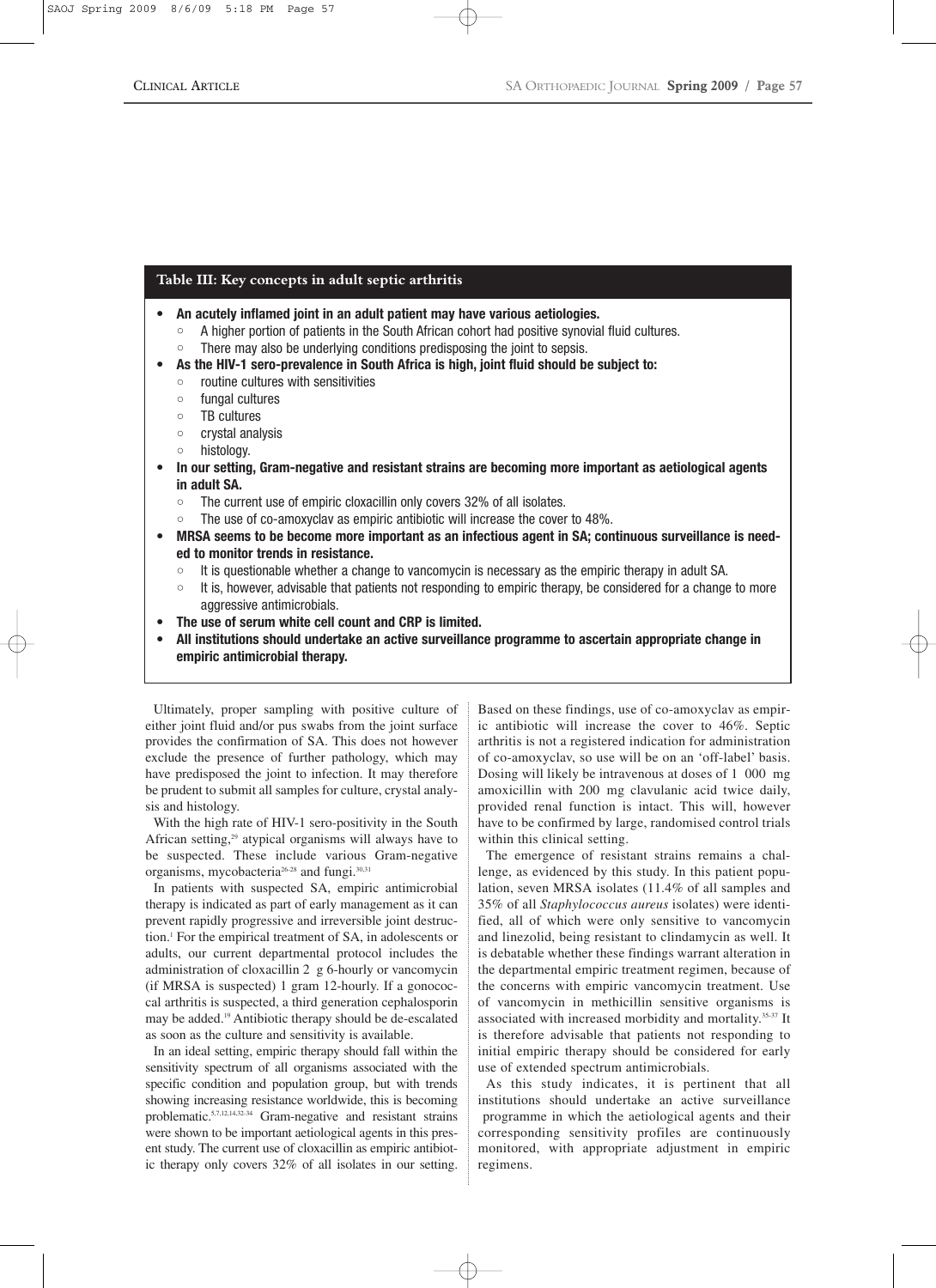#### **Table III: Key concepts in adult septic arthritis**

- **An acutely inflamed joint in an adult patient may have various aetiologies.**
	- A higher portion of patients in the South African cohort had positive synovial fluid cultures.  $\circ$  There may also be underlying conditions predisposing the joint to sepsis.
- **As the HIV-1 sero-prevalence in South Africa is high, joint fluid should be subject to:**
	- $\circ$  routine cultures with sensitivities
	- $\circ$  fungal cultures
	- TB cultures
	- $\circ$  crystal analysis
	- histology.
- **In our setting, Gram-negative and resistant strains are becoming more important as aetiological agents in adult SA.**
	- $\circ$  The current use of empiric cloxacillin only covers 32% of all isolates.
	- The use of co-amoxyclav as empiric antibiotic will increase the cover to 48%.
- **MRSA seems to be become more important as an infectious agent in SA; continuous surveillance is needed to monitor trends in resistance.**
	- It is questionable whether a change to vancomycin is necessary as the empiric therapy in adult SA.
	- $\circ$  It is, however, advisable that patients not responding to empiric therapy, be considered for a change to more aggressive antimicrobials.
- **• The use of serum white cell count and CRP is limited.**
- **All institutions should undertake an active surveillance programme to ascertain appropriate change in empiric antimicrobial therapy.**

Ultimately, proper sampling with positive culture of either joint fluid and/or pus swabs from the joint surface provides the confirmation of SA. This does not however exclude the presence of further pathology, which may have predisposed the joint to infection. It may therefore be prudent to submit all samples for culture, crystal analysis and histology.

With the high rate of HIV-1 sero-positivity in the South African setting,<sup>29</sup> atypical organisms will always have to be suspected. These include various Gram-negative organisms, mycobacteria<sup>26-28</sup> and fungi.<sup>30,31</sup>

In patients with suspected SA, empiric antimicrobial therapy is indicated as part of early management as it can prevent rapidly progressive and irreversible joint destruction.1 For the empirical treatment of SA, in adolescents or adults, our current departmental protocol includes the administration of cloxacillin 2 g 6-hourly or vancomycin (if MRSA is suspected) 1 gram 12-hourly. If a gonococcal arthritis is suspected, a third generation cephalosporin may be added.19 Antibiotic therapy should be de-escalated as soon as the culture and sensitivity is available.

In an ideal setting, empiric therapy should fall within the sensitivity spectrum of all organisms associated with the specific condition and population group, but with trends showing increasing resistance worldwide, this is becoming problematic.5,7,12,14,32-34 Gram-negative and resistant strains were shown to be important aetiological agents in this present study. The current use of cloxacillin as empiric antibiotic therapy only covers 32% of all isolates in our setting.

Based on these findings, use of co-amoxyclav as empiric antibiotic will increase the cover to 46%. Septic arthritis is not a registered indication for administration of co-amoxyclav, so use will be on an 'off-label' basis. Dosing will likely be intravenous at doses of 1 000 mg amoxicillin with 200 mg clavulanic acid twice daily, provided renal function is intact. This will, however have to be confirmed by large, randomised control trials within this clinical setting.

The emergence of resistant strains remains a challenge, as evidenced by this study. In this patient population, seven MRSA isolates (11.4% of all samples and 35% of all *Staphylococcus aureus* isolates) were identified, all of which were only sensitive to vancomycin and linezolid, being resistant to clindamycin as well. It is debatable whether these findings warrant alteration in the departmental empiric treatment regimen, because of the concerns with empiric vancomycin treatment. Use of vancomycin in methicillin sensitive organisms is associated with increased morbidity and mortality.35-37 It is therefore advisable that patients not responding to initial empiric therapy should be considered for early use of extended spectrum antimicrobials.

As this study indicates, it is pertinent that all institutions should undertake an active surveillance programme in which the aetiological agents and their corresponding sensitivity profiles are continuously monitored, with appropriate adjustment in empiric regimens.